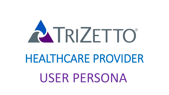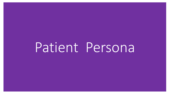# Patient Persona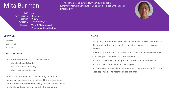## Mita Burman

**AGE OCCUPATION STATUS LOCATION Disease** 66 Home Maker **Widow** Sacramento, CA **Type 2 Diabetes and Congestive Heart Failure**

## Her husband passed away a few years ago, and she currently lives with her daughter. She also has a son who lives in a different city.



## **BEHAVIOR**

- Helpless
- Depressed
- Anxious

## **FRUSTRATIONS**

She is Stressed because she does not know:

- who she should listen to
- what she should be eating
- which medications to take

She is not sure, how much phosphorus, sodium and potassium to consume given all her different conditions, and whether she should be focusing on them for her diet or if she should focus more on carbohydrates and fat.

## **GOALS**

- A way for all her different providers to communicate with each other so they are all on the same page in terms of her plan of care moving forward
- Most imp for her to focus on at this time is medication she should take
- One Meal plan that work for all her condition
- Ability to contact her various provider for clarification on questions
- Ability to talk to a nurse about her dialysis
- An Easier way to schedule appointment such there are no conflicts, and clear opportunities to reschedule conflict arise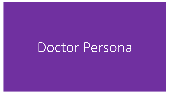Doctor Persona